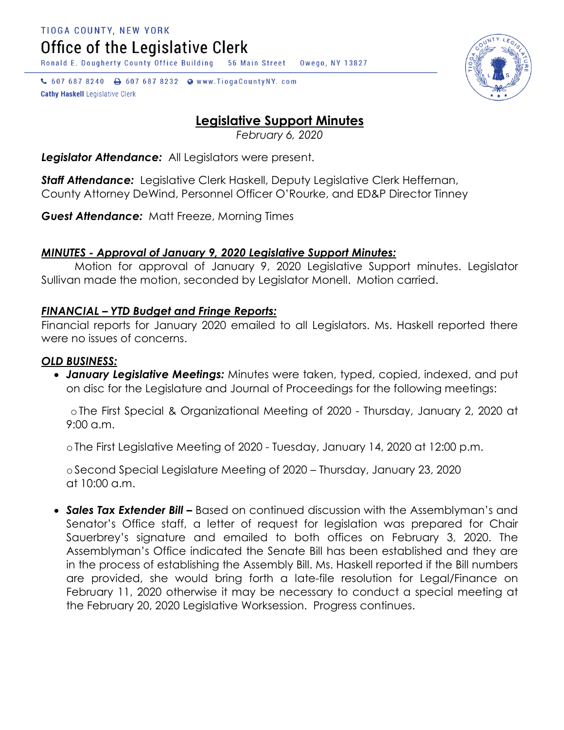TIOGA COUNTY, NEW YORK Office of the Legislative Clerk

Ronald E. Dougherty County Office Building 56 Main Street Owego, NY 13827

↓ 607 687 8240 → 607 687 8232 → www.TiogaCountyNY.com **Cathy Haskell Legislative Clerk** 



# **Legislative Support Minutes**

*February 6, 2020*

*Legislator Attendance:* All Legislators were present.

*Staff Attendance:* Legislative Clerk Haskell, Deputy Legislative Clerk Heffernan, County Attorney DeWind, Personnel Officer O'Rourke, and ED&P Director Tinney

*Guest Attendance:* Matt Freeze, Morning Times

# *MINUTES - Approval of January 9, 2020 Legislative Support Minutes:*

Motion for approval of January 9, 2020 Legislative Support minutes. Legislator Sullivan made the motion, seconded by Legislator Monell. Motion carried.

### *FINANCIAL – YTD Budget and Fringe Reports:*

Financial reports for January 2020 emailed to all Legislators. Ms. Haskell reported there were no issues of concerns.

#### *OLD BUSINESS:*

 *January Legislative Meetings:* Minutes were taken, typed, copied, indexed, and put on disc for the Legislature and Journal of Proceedings for the following meetings:

oThe First Special & Organizational Meeting of 2020 - Thursday, January 2, 2020 at 9:00 a.m.

oThe First Legislative Meeting of 2020 - Tuesday, January 14, 2020 at 12:00 p.m.

oSecond Special Legislature Meeting of 2020 – Thursday, January 23, 2020 at 10:00 a.m.

• **Sales Tax Extender Bill –** Based on continued discussion with the Assemblyman's and Senator's Office staff, a letter of request for legislation was prepared for Chair Sauerbrey's signature and emailed to both offices on February 3, 2020. The Assemblyman's Office indicated the Senate Bill has been established and they are in the process of establishing the Assembly Bill. Ms. Haskell reported if the Bill numbers are provided, she would bring forth a late-file resolution for Legal/Finance on February 11, 2020 otherwise it may be necessary to conduct a special meeting at the February 20, 2020 Legislative Worksession. Progress continues.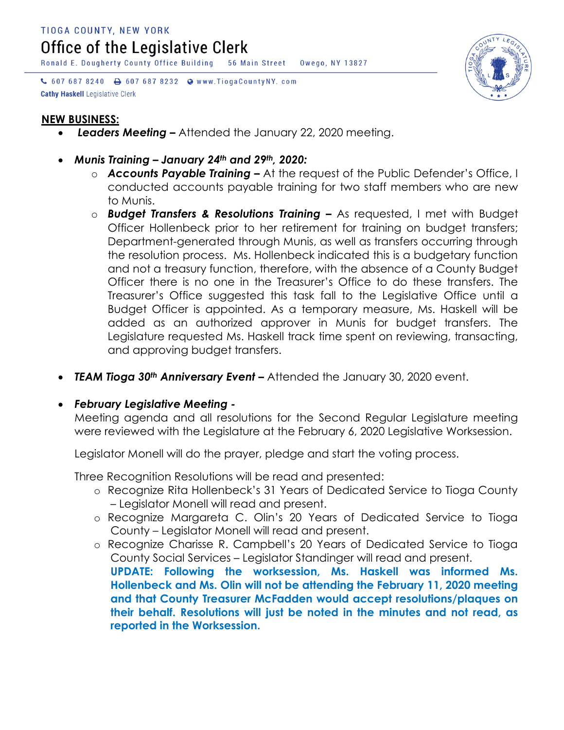Office of the Legislative Clerk

Ronald E. Dougherty County Office Building 56 Main Street Owego, NY 13827

↓ 607 687 8240 A 607 687 8232 W www.TiogaCountyNY.com **Cathy Haskell Legislative Clerk** 



- *Leaders Meeting –* Attended the January 22, 2020 meeting.
- *Munis Training – January 24th and 29th, 2020:*
	- o *Accounts Payable Training –* At the request of the Public Defender's Office, I conducted accounts payable training for two staff members who are new to Munis.
	- o *Budget Transfers & Resolutions Training –* As requested, I met with Budget Officer Hollenbeck prior to her retirement for training on budget transfers; Department-generated through Munis, as well as transfers occurring through the resolution process. Ms. Hollenbeck indicated this is a budgetary function and not a treasury function, therefore, with the absence of a County Budget Officer there is no one in the Treasurer's Office to do these transfers. The Treasurer's Office suggested this task fall to the Legislative Office until a Budget Officer is appointed. As a temporary measure, Ms. Haskell will be added as an authorized approver in Munis for budget transfers. The Legislature requested Ms. Haskell track time spent on reviewing, transacting, and approving budget transfers.
- TEAM Tioga 30<sup>th</sup> Anniversary Event Attended the January 30, 2020 event.

# *February Legislative Meeting -*

Meeting agenda and all resolutions for the Second Regular Legislature meeting were reviewed with the Legislature at the February 6, 2020 Legislative Worksession.

Legislator Monell will do the prayer, pledge and start the voting process.

Three Recognition Resolutions will be read and presented:

- o Recognize Rita Hollenbeck's 31 Years of Dedicated Service to Tioga County – Legislator Monell will read and present.
- o Recognize Margareta C. Olin's 20 Years of Dedicated Service to Tioga County – Legislator Monell will read and present.
- o Recognize Charisse R. Campbell's 20 Years of Dedicated Service to Tioga County Social Services – Legislator Standinger will read and present. **UPDATE: Following the worksession, Ms. Haskell was informed Ms. Hollenbeck and Ms. Olin will not be attending the February 11, 2020 meeting and that County Treasurer McFadden would accept resolutions/plaques on their behalf. Resolutions will just be noted in the minutes and not read, as reported in the Worksession.**